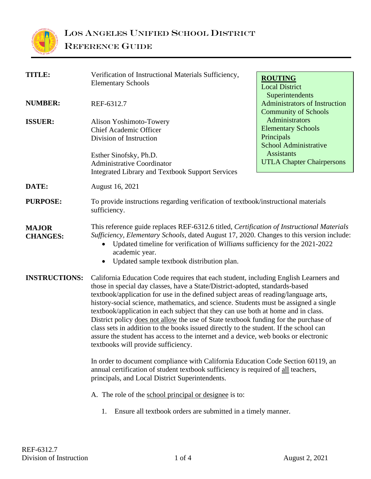

| <b>TITLE:</b>                   | Verification of Instructional Materials Sufficiency,<br><b>Elementary Schools</b>                                                                                                                                                                                                                                                                                                                                                                                                                                                                                                                                                                                                                                                                                                                                                                                                                                                                                                                                                             | <b>ROUTING</b>                                          |  |
|---------------------------------|-----------------------------------------------------------------------------------------------------------------------------------------------------------------------------------------------------------------------------------------------------------------------------------------------------------------------------------------------------------------------------------------------------------------------------------------------------------------------------------------------------------------------------------------------------------------------------------------------------------------------------------------------------------------------------------------------------------------------------------------------------------------------------------------------------------------------------------------------------------------------------------------------------------------------------------------------------------------------------------------------------------------------------------------------|---------------------------------------------------------|--|
|                                 |                                                                                                                                                                                                                                                                                                                                                                                                                                                                                                                                                                                                                                                                                                                                                                                                                                                                                                                                                                                                                                               | <b>Local District</b>                                   |  |
| <b>NUMBER:</b>                  | REF-6312.7                                                                                                                                                                                                                                                                                                                                                                                                                                                                                                                                                                                                                                                                                                                                                                                                                                                                                                                                                                                                                                    | Superintendents<br><b>Administrators of Instruction</b> |  |
|                                 |                                                                                                                                                                                                                                                                                                                                                                                                                                                                                                                                                                                                                                                                                                                                                                                                                                                                                                                                                                                                                                               | <b>Community of Schools</b>                             |  |
|                                 |                                                                                                                                                                                                                                                                                                                                                                                                                                                                                                                                                                                                                                                                                                                                                                                                                                                                                                                                                                                                                                               | Administrators                                          |  |
| <b>ISSUER:</b>                  | Alison Yoshimoto-Towery<br><b>Chief Academic Officer</b>                                                                                                                                                                                                                                                                                                                                                                                                                                                                                                                                                                                                                                                                                                                                                                                                                                                                                                                                                                                      | <b>Elementary Schools</b>                               |  |
|                                 | Division of Instruction                                                                                                                                                                                                                                                                                                                                                                                                                                                                                                                                                                                                                                                                                                                                                                                                                                                                                                                                                                                                                       | Principals                                              |  |
|                                 |                                                                                                                                                                                                                                                                                                                                                                                                                                                                                                                                                                                                                                                                                                                                                                                                                                                                                                                                                                                                                                               | <b>School Administrative</b>                            |  |
|                                 | Esther Sinofsky, Ph.D.                                                                                                                                                                                                                                                                                                                                                                                                                                                                                                                                                                                                                                                                                                                                                                                                                                                                                                                                                                                                                        | <b>Assistants</b>                                       |  |
|                                 | <b>Administrative Coordinator</b>                                                                                                                                                                                                                                                                                                                                                                                                                                                                                                                                                                                                                                                                                                                                                                                                                                                                                                                                                                                                             | <b>UTLA Chapter Chairpersons</b>                        |  |
|                                 | <b>Integrated Library and Textbook Support Services</b>                                                                                                                                                                                                                                                                                                                                                                                                                                                                                                                                                                                                                                                                                                                                                                                                                                                                                                                                                                                       |                                                         |  |
|                                 |                                                                                                                                                                                                                                                                                                                                                                                                                                                                                                                                                                                                                                                                                                                                                                                                                                                                                                                                                                                                                                               |                                                         |  |
| DATE:                           | August 16, 2021                                                                                                                                                                                                                                                                                                                                                                                                                                                                                                                                                                                                                                                                                                                                                                                                                                                                                                                                                                                                                               |                                                         |  |
| <b>PURPOSE:</b>                 | To provide instructions regarding verification of textbook/instructional materials<br>sufficiency.                                                                                                                                                                                                                                                                                                                                                                                                                                                                                                                                                                                                                                                                                                                                                                                                                                                                                                                                            |                                                         |  |
| <b>MAJOR</b><br><b>CHANGES:</b> | This reference guide replaces REF-6312.6 titled, Certification of Instructional Materials<br>Sufficiency, Elementary Schools, dated August 17, 2020. Changes to this version include:<br>Updated timeline for verification of Williams sufficiency for the 2021-2022<br>academic year.<br>Updated sample textbook distribution plan.<br>$\bullet$                                                                                                                                                                                                                                                                                                                                                                                                                                                                                                                                                                                                                                                                                             |                                                         |  |
| <b>INSTRUCTIONS:</b>            | California Education Code requires that each student, including English Learners and<br>those in special day classes, have a State/District-adopted, standards-based<br>textbook/application for use in the defined subject areas of reading/language arts,<br>history-social science, mathematics, and science. Students must be assigned a single<br>textbook/application in each subject that they can use both at home and in class.<br>District policy does not allow the use of State textbook funding for the purchase of<br>class sets in addition to the books issued directly to the student. If the school can<br>assure the student has access to the internet and a device, web books or electronic<br>textbooks will provide sufficiency.<br>In order to document compliance with California Education Code Section 60119, an<br>annual certification of student textbook sufficiency is required of all teachers,<br>principals, and Local District Superintendents.<br>A. The role of the school principal or designee is to: |                                                         |  |
|                                 | Ensure all textbook orders are submitted in a timely manner.<br>1.                                                                                                                                                                                                                                                                                                                                                                                                                                                                                                                                                                                                                                                                                                                                                                                                                                                                                                                                                                            |                                                         |  |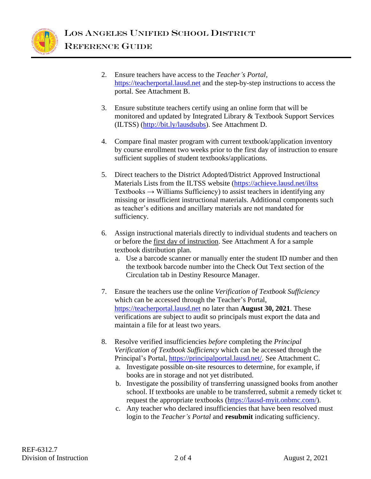

- 2. Ensure teachers have access to the *Teacher's Portal,*  [https://teacherportal.lausd.net](https://teacherportal.lausd.net/) and the step-by-step instructions to access the portal. See Attachment B.
- 3. Ensure substitute teachers certify using an online form that will be monitored and updated by Integrated Library & Textbook Support Services (ILTSS) [\(http://bit.ly/lausdsubs\)](http://bit.ly/lausdsubs). See Attachment D.
- 4. Compare final master program with current textbook/application inventory by course enrollment two weeks prior to the first day of instruction to ensure sufficient supplies of student textbooks/applications.
- 5. Direct teachers to the District Adopted/District Approved Instructional Materials Lists from the ILTSS website [\(https://achieve.lausd.net/iltss](https://achieve.lausd.net/iltss)  $Textbooks \rightarrow Williams\;Sufficiency)$  to assist teachers in identifying any missing or insufficient instructional materials. Additional components such as teacher's editions and ancillary materials are not mandated for sufficiency.
- 6. Assign instructional materials directly to individual students and teachers on or before the first day of instruction. See Attachment A for a sample textbook distribution plan.
	- a. Use a barcode scanner or manually enter the student ID number and then the textbook barcode number into the Check Out Text section of the Circulation tab in Destiny Resource Manager.
- 7. Ensure the teachers use the online *Verification of Textbook Sufficiency* which can be accessed through the Teacher's Portal, [https://teacherportal.lausd.net](https://teacherportal.lausd.net/) no later than **August 30, 2021**. These verifications are subject to audit so principals must export the data and maintain a file for at least two years.
- 8. Resolve verified insufficiencies *before* completing the *Principal Verification of Textbook Sufficiency* which can be accessed through the Principal's Portal, [https://principalportal.lausd.net/.](https://principalportal.lausd.net/) See Attachment C.
	- a. Investigate possible on-site resources to determine, for example, if books are in storage and not yet distributed.
	- b. Investigate the possibility of transferring unassigned books from another school. If textbooks are unable to be transferred, submit a remedy ticket to request the appropriate textbooks [\(https://lausd-myit.onbmc.com/\)](https://lausd-myit.onbmc.com/).
	- c. Any teacher who declared insufficiencies that have been resolved must login to the *Teacher's Portal* and **resubmit** indicating sufficiency.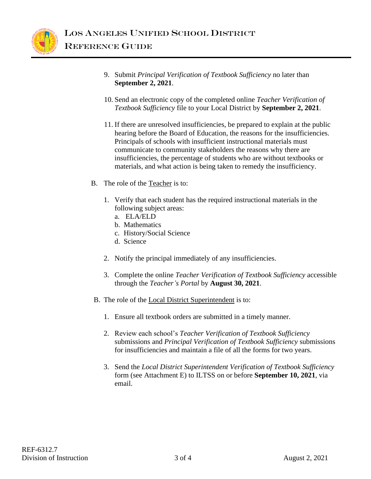

- 9. Submit *Principal Verification of Textbook Sufficiency* no later than **September 2, 2021**.
- 10. Send an electronic copy of the completed online *Teacher Verification of Textbook Sufficiency* file to your Local District by **September 2, 2021**.
- 11. If there are unresolved insufficiencies, be prepared to explain at the public hearing before the Board of Education, the reasons for the insufficiencies. Principals of schools with insufficient instructional materials must communicate to community stakeholders the reasons why there are insufficiencies, the percentage of students who are without textbooks or materials, and what action is being taken to remedy the insufficiency.
- B. The role of the Teacher is to:
	- 1. Verify that each student has the required instructional materials in the following subject areas:
		- a. ELA/ELD
		- b. Mathematics
		- c. History/Social Science
		- d. Science
	- 2. Notify the principal immediately of any insufficiencies.
	- 3. Complete the online *Teacher Verification of Textbook Sufficiency* accessible through the *Teacher's Portal* by **August 30, 2021**.
- B. The role of the **Local District Superintendent** is to:
	- 1. Ensure all textbook orders are submitted in a timely manner.
	- 2. Review each school's *Teacher Verification of Textbook Sufficiency*  submissions and *Principal Verification of Textbook Sufficiency* submissions for insufficiencies and maintain a file of all the forms for two years.
	- 3. Send the *Local District Superintendent Verification of Textbook Sufficiency*  form (see Attachment E) to ILTSS on or before **September 10, 2021**, via email.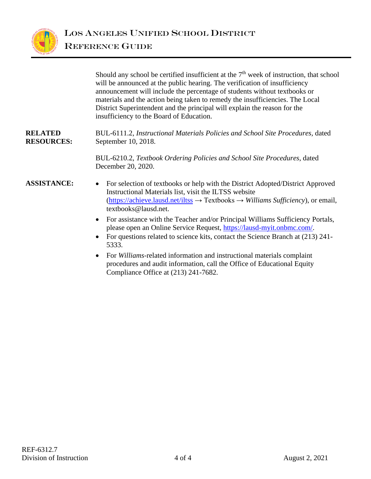

Should any school be certified insufficient at the  $7<sup>th</sup>$  week of instruction, that school will be announced at the public hearing. The verification of insufficiency announcement will include the percentage of students without textbooks or materials and the action being taken to remedy the insufficiencies. The Local District Superintendent and the principal will explain the reason for the insufficiency to the Board of Education.

#### **RELATED RESOURCES:** BUL-6111.2, *Instructional Materials Policies and School Site Procedures,* dated September 10, 2018.

BUL-6210.2, *Textbook Ordering Policies and School Site Procedures*, dated December 20, 2020.

- **ASSISTANCE:** For selection of textbooks or help with the District Adopted/District Approved Instructional Materials list, visit the ILTSS website [\(https://achieve.lausd.net/iltss](https://achieve.lausd.net/iltss) → Textbooks → *Williams Sufficiency*), or email, textbooks@lausd.net.
	- For assistance with the Teacher and/or Principal Williams Sufficiency Portals, please open an Online Service Request, [https://lausd-myit.onbmc.com/.](https://lausd-myit.onbmc.com/)
	- For questions related to science kits, contact the Science Branch at (213) 241-5333.
	- For *Williams*-related information and instructional materials complaint procedures and audit information, call the Office of Educational Equity Compliance Office at (213) 241-7682.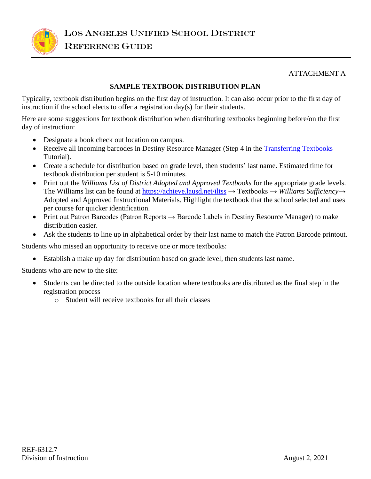

#### ATTACHMENT A

## **SAMPLE TEXTBOOK DISTRIBUTION PLAN**

Typically, textbook distribution begins on the first day of instruction. It can also occur prior to the first day of instruction if the school elects to offer a registration day(s) for their students.

Here are some suggestions for textbook distribution when distributing textbooks beginning before/on the first day of instruction:

- Designate a book check out location on campus.
- Receive all incoming barcodes in Destiny Resource Manager (Step 4 in the [Transferring Textbooks](https://drive.google.com/file/d/15_kG3jvTGgaqGvRQpR7LNqD4ZVCAE-SL/view?usp=sharing) Tutorial).
- Create a schedule for distribution based on grade level, then students' last name. Estimated time for textbook distribution per student is 5-10 minutes.
- Print out the *Williams List of District Adopted and Approved Textbooks* for the appropriate grade levels. The Williams list can be found at<https://achieve.lausd.net/iltss> → Textbooks → *Williams Sufficiency→*  Adopted and Approved Instructional Materials. Highlight the textbook that the school selected and uses per course for quicker identification.
- Print out Patron Barcodes (Patron Reports → Barcode Labels in Destiny Resource Manager) to make distribution easier.
- Ask the students to line up in alphabetical order by their last name to match the Patron Barcode printout.

Students who missed an opportunity to receive one or more textbooks:

• Establish a make up day for distribution based on grade level, then students last name.

Students who are new to the site:

- Students can be directed to the outside location where textbooks are distributed as the final step in the registration process
	- o Student will receive textbooks for all their classes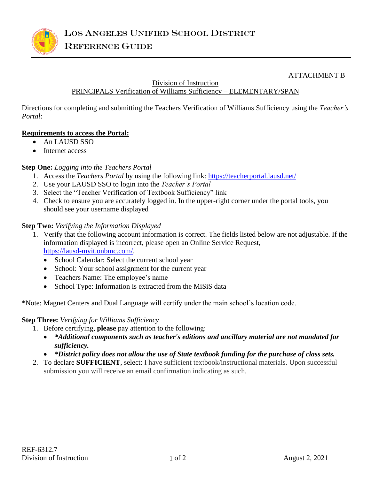

#### ATTACHMENT B

#### Division of Instruction

# PRINCIPALS Verification of Williams Sufficiency – ELEMENTARY/SPAN

Directions for completing and submitting the Teachers Verification of Williams Sufficiency using the *Teacher's Portal*:

#### **Requirements to access the Portal:**

- An LAUSD SSO
- Internet access

#### **Step One:** *Logging into the Teachers Portal*

- 1. Access the *Teachers Portal* by using the following link:<https://teacherportal.lausd.net/>
- 2. Use your LAUSD SSO to login into the *Teacher's Portal*
- 3. Select the "Teacher Verification of Textbook Sufficiency" link
- 4. Check to ensure you are accurately logged in. In the upper-right corner under the portal tools, you should see your username displayed

#### **Step Two:** *Verifying the Information Displayed*

- 1. Verify that the following account information is correct. The fields listed below are not adjustable. If the information displayed is incorrect, please open an Online Service Request, [https://lausd-myit.onbmc.com/.](https://lausd-myit.onbmc.com/)
	- School Calendar: Select the current school year
	- School: Your school assignment for the current year
	- Teachers Name: The employee's name
	- School Type: Information is extracted from the MiSiS data

\*Note: Magnet Centers and Dual Language will certify under the main school's location code.

#### **Step Three:** *Verifying for Williams Sufficiency*

1. Before certifying, **please** pay attention to the following:

- *\*Additional components such as teacher's editions and ancillary material are not mandated for sufficiency.*
- *\*District policy does not allow the use of State textbook funding for the purchase of class sets.*
- 2. To declare **SUFFICIENT**, select: I have sufficient textbook/instructional materials. Upon successful submission you will receive an email confirmation indicating as such.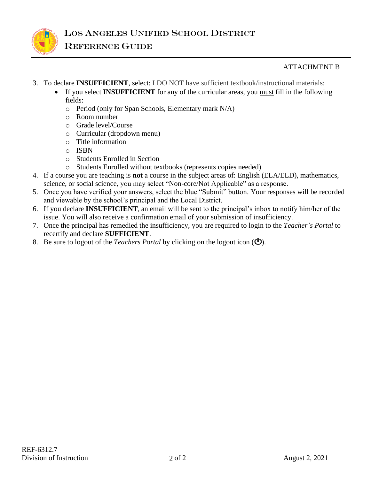

# ATTACHMENT B

- 3. To declare **INSUFFICIENT**, select: I DO NOT have sufficient textbook/instructional materials:
	- If you select **INSUFFICIENT** for any of the curricular areas, you must fill in the following fields:
		- o Period (only for Span Schools, Elementary mark N/A)
		- o Room number
		- o Grade level/Course
		- o Curricular (dropdown menu)
		- o Title information
		- o ISBN
		- o Students Enrolled in Section
		- o Students Enrolled without textbooks (represents copies needed)
- 4. If a course you are teaching is **not** a course in the subject areas of: English (ELA/ELD), mathematics, science, or social science, you may select "Non-core/Not Applicable" as a response.
- 5. Once you have verified your answers, select the blue "Submit" button. Your responses will be recorded and viewable by the school's principal and the Local District.
- 6. If you declare **INSUFFICIENT**, an email will be sent to the principal's inbox to notify him/her of the issue. You will also receive a confirmation email of your submission of insufficiency.
- 7. Once the principal has remedied the insufficiency, you are required to login to the *Teacher's Portal* to recertify and declare **SUFFICIENT**.
- 8. Be sure to logout of the *Teachers Portal* by clicking on the logout icon ( $\bullet$ ).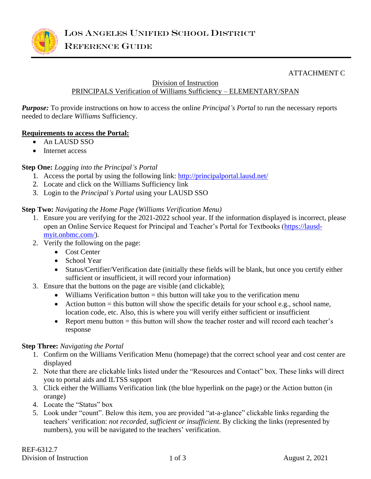

#### ATTACHMENT C

#### Division of Instruction

# PRINCIPALS Verification of Williams Sufficiency – ELEMENTARY/SPAN

*Purpose:* To provide instructions on how to access the online *Principal's Portal* to run the necessary reports needed to declare *Williams* Sufficiency.

#### **Requirements to access the Portal:**

- An LAUSD SSO
- Internet access

#### **Step One:** *Logging into the Principal's Portal*

- 1. Access the portal by using the following link:<http://principalportal.lausd.net/>
- 2. Locate and click on the Williams Sufficiency link
- 3. Login to the *Principal's Portal* using your LAUSD SSO

#### **Step Two:** *Navigating the Home Page (Williams Verification Menu)*

- 1. Ensure you are verifying for the 2021-2022 school year. If the information displayed is incorrect, please open an Online Service Request for Principal and Teacher's Portal for Textbooks [\(https://lausd](https://lausd-myit.onbmc.com/)[myit.onbmc.com/\)](https://lausd-myit.onbmc.com/).
- 2. Verify the following on the page:
	- Cost Center
	- School Year
	- Status/Certifier/Verification date (initially these fields will be blank, but once you certify either sufficient or insufficient, it will record your information)
- 3. Ensure that the buttons on the page are visible (and clickable);
	- Williams Verification button  $=$  this button will take you to the verification menu
	- Action button  $=$  this button will show the specific details for your school e.g., school name, location code, etc. Also, this is where you will verify either sufficient or insufficient
	- Report menu button  $=$  this button will show the teacher roster and will record each teacher's response

#### **Step Three:** *Navigating the Portal*

- 1. Confirm on the Williams Verification Menu (homepage) that the correct school year and cost center are displayed
- 2. Note that there are clickable links listed under the "Resources and Contact" box. These links will direct you to portal aids and ILTSS support
- 3. Click either the Williams Verification link (the blue hyperlink on the page) or the Action button (in orange)
- 4. Locate the "Status" box
- 5. Look under "count". Below this item, you are provided "at-a-glance" clickable links regarding the teachers' verification: *not recorded, sufficient or insufficient*. By clicking the links (represented by numbers), you will be navigated to the teachers' verification.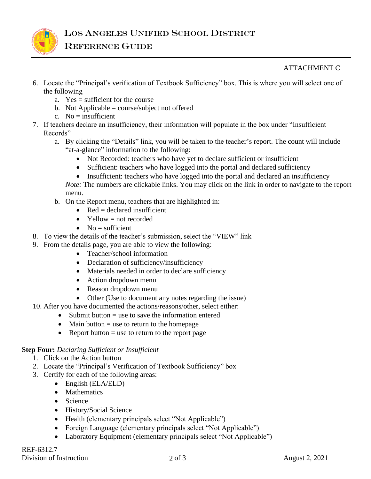

# ATTACHMENT C

- 6. Locate the "Principal's verification of Textbook Sufficiency" box. This is where you will select one of the following
	- a. Yes = sufficient for the course
	- b. Not Applicable = course/subject not offered
	- c.  $No = insufficient$
- 7. If teachers declare an insufficiency, their information will populate in the box under "Insufficient Records"
	- a. By clicking the "Details" link, you will be taken to the teacher's report. The count will include "at-a-glance" information to the following:
		- Not Recorded: teachers who have yet to declare sufficient or insufficient
		- Sufficient: teachers who have logged into the portal and declared sufficiency
		- Insufficient: teachers who have logged into the portal and declared an insufficiency
		- *Note:* The numbers are clickable links. You may click on the link in order to navigate to the report menu.
	- b. On the Report menu, teachers that are highlighted in:
		- Red  $=$  declared insufficient
		- Yellow  $=$  not recorded
		- $No = sufficient$
- 8. To view the details of the teacher's submission, select the "VIEW" link
- 9. From the details page, you are able to view the following:
	- Teacher/school information
	- Declaration of sufficiency/insufficiency
	- Materials needed in order to declare sufficiency
	- Action dropdown menu
	- Reason dropdown menu
	- Other (Use to document any notes regarding the issue)
- 10. After you have documented the actions/reasons/other, select either:
	- Submit button = use to save the information entered
	- Main button  $=$  use to return to the homepage
	- Report button  $=$  use to return to the report page

#### **Step Four:** *Declaring Sufficient or Insufficient*

- 1. Click on the Action button
- 2. Locate the "Principal's Verification of Textbook Sufficiency" box
- 3. Certify for each of the following areas:
	- English (ELA/ELD)
	- Mathematics
	- Science
	- History/Social Science
	- Health (elementary principals select "Not Applicable")
	- Foreign Language (elementary principals select "Not Applicable")
	- Laboratory Equipment (elementary principals select "Not Applicable")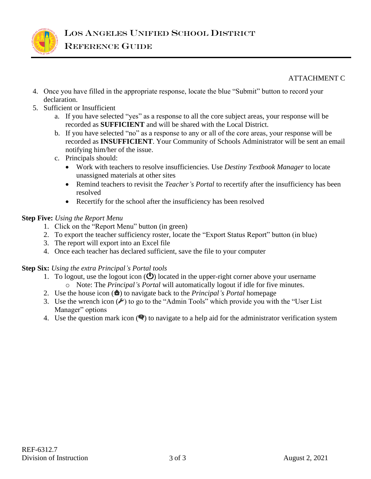

## ATTACHMENT C

- 4. Once you have filled in the appropriate response, locate the blue "Submit" button to record your declaration.
- 5. Sufficient or Insufficient
	- a. If you have selected "yes" as a response to all the core subject areas, your response will be recorded as **SUFFICIENT** and will be shared with the Local District.
	- b. If you have selected "no" as a response to any or all of the core areas, your response will be recorded as **INSUFFICIENT**. Your Community of Schools Administrator will be sent an email notifying him/her of the issue.
	- c. Principals should:
		- Work with teachers to resolve insufficiencies. Use *Destiny Textbook Manager* to locate unassigned materials at other sites
		- Remind teachers to revisit the *Teacher's Portal* to recertify after the insufficiency has been resolved
		- Recertify for the school after the insufficiency has been resolved

## **Step Five:** *Using the Report Menu*

- 1. Click on the "Report Menu" button (in green)
- 2. To export the teacher sufficiency roster, locate the "Export Status Report" button (in blue)
- 3. The report will export into an Excel file
- 4. Once each teacher has declared sufficient, save the file to your computer

#### **Step Six:** *Using the extra Principal's Portal tools*

- 1. To logout, use the logout icon  $\circ$  located in the upper-right corner above your username o Note: The *Principal's Portal* will automatically logout if idle for five minutes.
- 2. Use the house icon (**a**) to navigate back to the *Principal's Portal* homepage
- 3. Use the wrench icon  $(\ell)$  to go to the "Admin Tools" which provide you with the "User List" Manager" options
- 4. Use the question mark icon  $\left( \bullet \right)$  to navigate to a help aid for the administrator verification system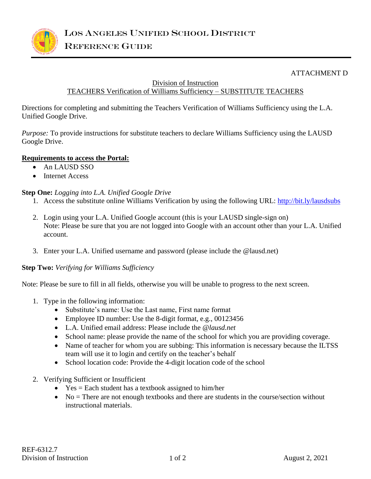

#### ATTACHMENT D

Division of Instruction

# TEACHERS Verification of Williams Sufficiency – SUBSTITUTE TEACHERS

Directions for completing and submitting the Teachers Verification of Williams Sufficiency using the L.A. Unified Google Drive.

*Purpose:* To provide instructions for substitute teachers to declare Williams Sufficiency using the LAUSD Google Drive.

#### **Requirements to access the Portal:**

- An LAUSD SSO
- Internet Access

#### **Step One:** *Logging into L.A. Unified Google Drive*

- 1. Access the substitute online Williams Verification by using the following URL:<http://bit.ly/lausdsubs>
- 2. Login using your L.A. Unified Google account (this is your LAUSD single-sign on) Note: Please be sure that you are not logged into Google with an account other than your L.A. Unified account.
- 3. Enter your L.A. Unified username and password (please include the @lausd.net)

#### **Step Two:** *Verifying for Williams Sufficiency*

Note: Please be sure to fill in all fields, otherwise you will be unable to progress to the next screen.

- 1. Type in the following information:
	- Substitute's name: Use the Last name, First name format
	- Employee ID number: Use the 8-digit format, e.g., 00123456
	- L.A. Unified email address: Please include the *@lausd.net*
	- School name: please provide the name of the school for which you are providing coverage.
	- Name of teacher for whom you are subbing: This information is necessary because the ILTSS team will use it to login and certify on the teacher's behalf
	- School location code: Provide the 4-digit location code of the school
- 2. Verifying Sufficient or Insufficient
	- Yes = Each student has a textbook assigned to him/her
	- No  $=$  There are not enough textbooks and there are students in the course/section without instructional materials.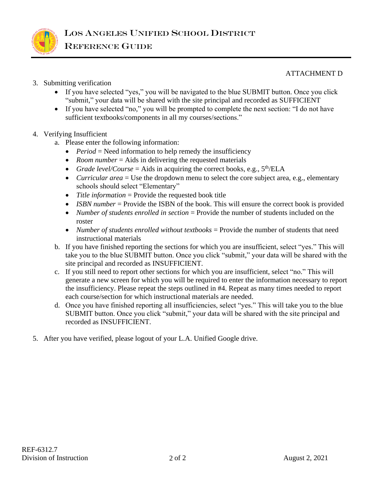

#### ATTACHMENT D

- 3. Submitting verification
	- If you have selected "yes," you will be navigated to the blue SUBMIT button. Once you click "submit," your data will be shared with the site principal and recorded as SUFFICIENT
	- If you have selected "no," you will be prompted to complete the next section: "I do not have sufficient textbooks/components in all my courses/sections."

## 4. Verifying Insufficient

- a. Please enter the following information:
	- *Period* = Need information to help remedy the insufficiency
	- *Room number* = Aids in delivering the requested materials
	- *Grade level/Course* = Aids in acquiring the correct books, e.g.,  $5^{\text{th}}$ /ELA
	- *Curricular area* = Use the dropdown menu to select the core subject area, e.g., elementary schools should select "Elementary"
	- *Title information* = Provide the requested book title
	- *ISBN number* = Provide the ISBN of the book. This will ensure the correct book is provided
	- *Number of students enrolled in section* = Provide the number of students included on the roster
	- *Number of students enrolled without textbooks* = Provide the number of students that need instructional materials
- b. If you have finished reporting the sections for which you are insufficient, select "yes." This will take you to the blue SUBMIT button. Once you click "submit," your data will be shared with the site principal and recorded as INSUFFICIENT.
- c. If you still need to report other sections for which you are insufficient, select "no." This will generate a new screen for which you will be required to enter the information necessary to report the insufficiency. Please repeat the steps outlined in #4. Repeat as many times needed to report each course/section for which instructional materials are needed.
- d. Once you have finished reporting all insufficiencies, select "yes." This will take you to the blue SUBMIT button. Once you click "submit," your data will be shared with the site principal and recorded as INSUFFICIENT.
- 5. After you have verified, please logout of your L.A. Unified Google drive.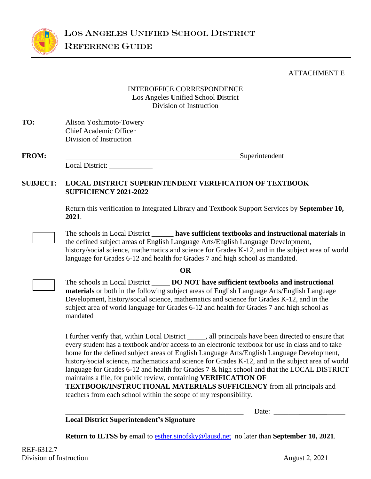

#### ATTACHMENT E

# INTEROFFICE CORRESPONDENCE **L**os **A**ngeles **U**nified **S**chool **D**istrict Division of Instruction

| TO: | Alison Yoshimoto-Towery       |
|-----|-------------------------------|
|     | <b>Chief Academic Officer</b> |
|     | Division of Instruction       |

| <b>FROM:</b> |                 | Superintendent |
|--------------|-----------------|----------------|
|              | Local District: |                |

#### **SUBJECT: LOCAL DISTRICT SUPERINTENDENT VERIFICATION OF TEXTBOOK SUFFICIENCY 2021-2022**

Return this verification to Integrated Library and Textbook Support Services by **September 10, 2021**.

The schools in Local District \_\_\_\_\_\_ **have sufficient textbooks and instructional materials** in the defined subject areas of English Language Arts/English Language Development, history/social science, mathematics and science for Grades K-12, and in the subject area of world language for Grades 6-12 and health for Grades 7 and high school as mandated.

#### **OR**

The schools in Local District \_\_\_\_\_ **DO NOT have sufficient textbooks and instructional materials** or both in the following subject areas of English Language Arts/English Language Development, history/social science, mathematics and science for Grades K-12, and in the subject area of world language for Grades 6-12 and health for Grades 7 and high school as mandated

I further verify that, within Local District \_\_\_\_\_, all principals have been directed to ensure that every student has a textbook and/or access to an electronic textbook for use in class and to take home for the defined subject areas of English Language Arts/English Language Development, history/social science, mathematics and science for Grades K-12, and in the subject area of world language for Grades 6-12 and health for Grades 7 & high school and that the LOCAL DISTRICT maintains a file, for public review, containing **VERIFICATION OF** 

**TEXTBOOK/INSTRUCTIONAL MATERIALS SUFFICIENCY** from all principals and teachers from each school within the scope of my responsibility.

Date:

**Local District Superintendent's Signature**

**Return to ILTSS by** email to [esther.sinofsky@lausd.net](mailto:esther.sinofsky@lausd.net) no later than **September 10, 2021**.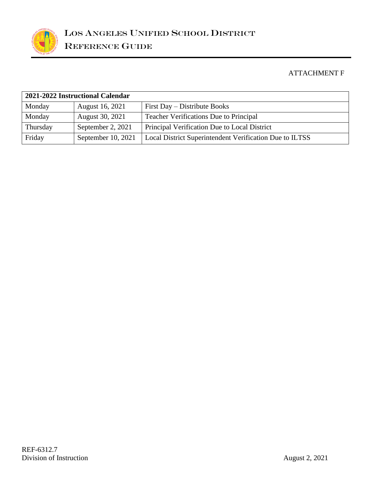

# ATTACHMENT F

| 2021-2022 Instructional Calendar |                      |                                                         |  |  |
|----------------------------------|----------------------|---------------------------------------------------------|--|--|
| Monday                           | August 16, 2021      | First Day – Distribute Books                            |  |  |
| Monday                           | August 30, 2021      | <b>Teacher Verifications Due to Principal</b>           |  |  |
| Thursday                         | September 2, 2021    | Principal Verification Due to Local District            |  |  |
| Friday                           | September 10, $2021$ | Local District Superintendent Verification Due to ILTSS |  |  |